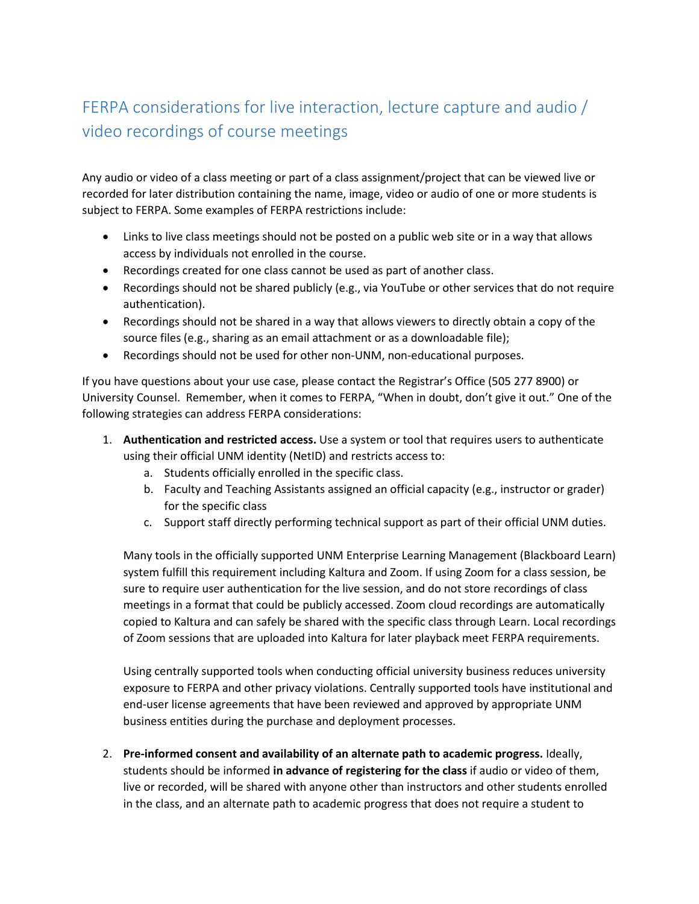## FERPA considerations for live interaction, lecture capture and audio / video recordings of course meetings

Any audio or video of a class meeting or part of a class assignment/project that can be viewed live or recorded for later distribution containing the name, image, video or audio of one or more students is subject to FERPA. Some examples of FERPA restrictions include:

- Links to live class meetings should not be posted on a public web site or in a way that allows access by individuals not enrolled in the course.
- Recordings created for one class cannot be used as part of another class.
- Recordings should not be shared publicly (e.g., via YouTube or other services that do not require authentication).
- Recordings should not be shared in a way that allows viewers to directly obtain a copy of the source files (e.g., sharing as an email attachment or as a downloadable file);
- Recordings should not be used for other non-UNM, non-educational purposes.

If you have questions about your use case, please contact the Registrar's Office (505 277 8900) or University Counsel. Remember, when it comes to FERPA, "When in doubt, don't give it out." One of the following strategies can address FERPA considerations:

- 1. **Authentication and restricted access.** Use a system or tool that requires users to authenticate using their official UNM identity (NetID) and restricts access to:
	- a. Students officially enrolled in the specific class.
	- b. Faculty and Teaching Assistants assigned an official capacity (e.g., instructor or grader) for the specific class
	- c. Support staff directly performing technical support as part of their official UNM duties.

Many tools in the officially supported UNM Enterprise Learning Management (Blackboard Learn) system fulfill this requirement including Kaltura and Zoom. If using Zoom for a class session, be sure to require user authentication for the live session, and do not store recordings of class meetings in a format that could be publicly accessed. Zoom cloud recordings are automatically copied to Kaltura and can safely be shared with the specific class through Learn. Local recordings of Zoom sessions that are uploaded into Kaltura for later playback meet FERPA requirements.

Using centrally supported tools when conducting official university business reduces university exposure to FERPA and other privacy violations. Centrally supported tools have institutional and end-user license agreements that have been reviewed and approved by appropriate UNM business entities during the purchase and deployment processes.

2. **Pre-informed consent and availability of an alternate path to academic progress.** Ideally, students should be informed **in advance of registering for the class** if audio or video of them, live or recorded, will be shared with anyone other than instructors and other students enrolled in the class, and an alternate path to academic progress that does not require a student to